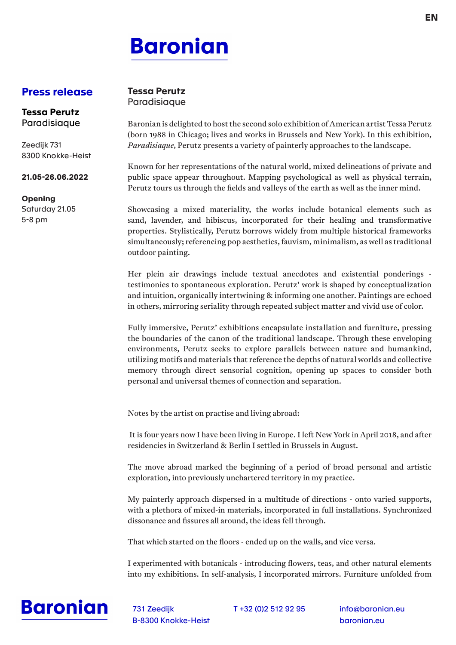## **Baronian**

## **Press release**

## **Tessa Perutz** Paradisiaque

**Tessa Perutz** Paradisiaque

Zeedijk 731 8300 Knokke-Heist

## **21.05-26.06.2022**

**Opening** Saturday 21.05 5-8 pm

Baronian is delighted to host the second solo exhibition of American artist Tessa Perutz (born 1988 in Chicago; lives and works in Brussels and New York). In this exhibition, *Paradisiaque*, Perutz presents a variety of painterly approaches to the landscape.

Known for her representations of the natural world, mixed delineations of private and public space appear throughout. Mapping psychological as well as physical terrain, Perutz tours us through the fields and valleys of the earth as well as the inner mind.

Showcasing a mixed materiality, the works include botanical elements such as sand, lavender, and hibiscus, incorporated for their healing and transformative properties. Stylistically, Perutz borrows widely from multiple historical frameworks simultaneously; referencing pop aesthetics, fauvism, minimalism, as well as traditional outdoor painting.

Her plein air drawings include textual anecdotes and existential ponderings testimonies to spontaneous exploration. Perutz' work is shaped by conceptualization and intuition, organically intertwining & informing one another. Paintings are echoed in others, mirroring seriality through repeated subject matter and vivid use of color.

Fully immersive, Perutz' exhibitions encapsulate installation and furniture, pressing the boundaries of the canon of the traditional landscape. Through these enveloping environments, Perutz seeks to explore parallels between nature and humankind, utilizing motifs and materials that reference the depths of natural worlds and collective memory through direct sensorial cognition, opening up spaces to consider both personal and universal themes of connection and separation.

Notes by the artist on practise and living abroad:

 It is four years now I have been living in Europe. I left New York in April 2018, and after residencies in Switzerland & Berlin I settled in Brussels in August.

The move abroad marked the beginning of a period of broad personal and artistic exploration, into previously unchartered territory in my practice.

My painterly approach dispersed in a multitude of directions - onto varied supports, with a plethora of mixed-in materials, incorporated in full installations. Synchronized dissonance and fissures all around, the ideas fell through.

That which started on the floors - ended up on the walls, and vice versa.

I experimented with botanicals - introducing flowers, teas, and other natural elements into my exhibitions. In self-analysis, I incorporated mirrors. Furniture unfolded from



731 Zeedijk T +32 (0)2 512 92 95 B-8300 Knokke-Heist

info@baronian.eu baronian.eu